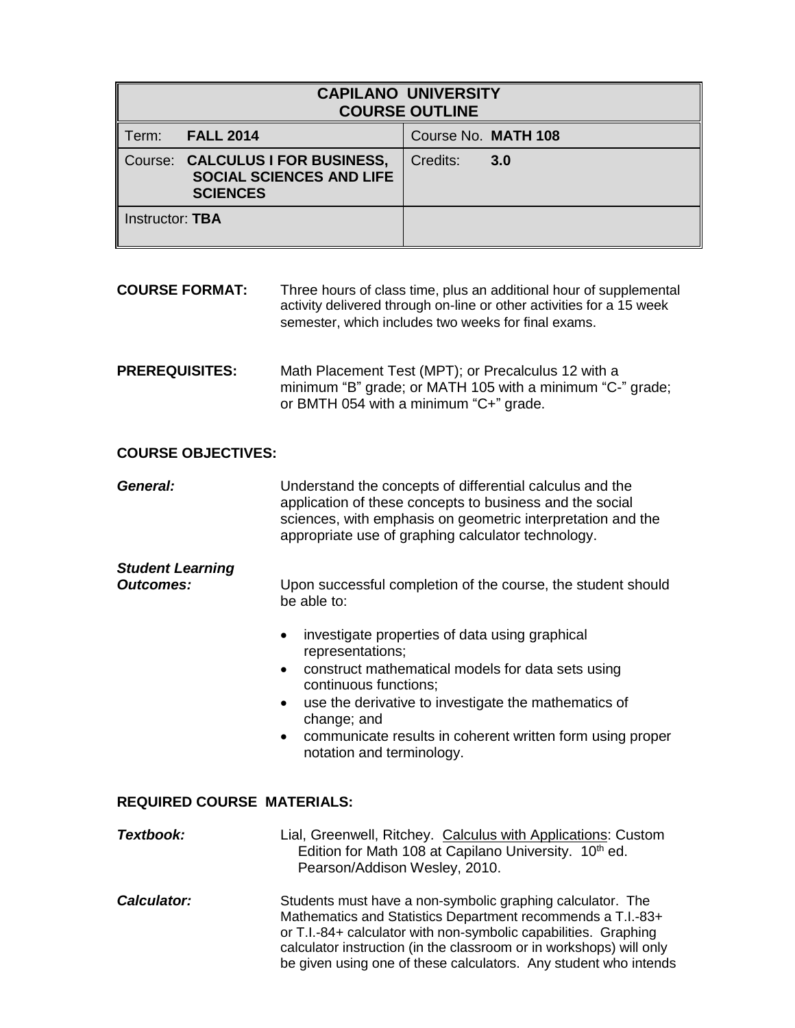| <b>CAPILANO UNIVERSITY</b><br><b>COURSE OUTLINE</b> |                                                                                        |                     |     |
|-----------------------------------------------------|----------------------------------------------------------------------------------------|---------------------|-----|
| Term:                                               | <b>FALL 2014</b>                                                                       | Course No. MATH 108 |     |
|                                                     | Course: CALCULUS I FOR BUSINESS,<br><b>SOCIAL SCIENCES AND LIFE</b><br><b>SCIENCES</b> | Credits:            | 3.0 |
| Instructor: TBA                                     |                                                                                        |                     |     |

- **COURSE FORMAT:** Three hours of class time, plus an additional hour of supplemental activity delivered through on-line or other activities for a 15 week semester, which includes two weeks for final exams.
- **PREREQUISITES:** Math Placement Test (MPT); or Precalculus 12 with a minimum "B" grade; or MATH 105 with a minimum "C-" grade; or BMTH 054 with a minimum "C+" grade.

#### **COURSE OBJECTIVES:**

*General:* Understand the concepts of differential calculus and the application of these concepts to business and the social sciences, with emphasis on geometric interpretation and the appropriate use of graphing calculator technology.

# *Student Learning*

**Outcomes:** Upon successful completion of the course, the student should be able to:

- investigate properties of data using graphical representations;
- construct mathematical models for data sets using continuous functions;
- use the derivative to investigate the mathematics of change; and
- communicate results in coherent written form using proper notation and terminology.

## **REQUIRED COURSE MATERIALS:**

| Textbook:          | Lial, Greenwell, Ritchey. Calculus with Applications: Custom<br>Edition for Math 108 at Capilano University. 10 <sup>th</sup> ed.<br>Pearson/Addison Wesley, 2010.                                                                                                                                                                      |
|--------------------|-----------------------------------------------------------------------------------------------------------------------------------------------------------------------------------------------------------------------------------------------------------------------------------------------------------------------------------------|
| <b>Calculator:</b> | Students must have a non-symbolic graphing calculator. The<br>Mathematics and Statistics Department recommends a T.I.-83+<br>or T.I.-84+ calculator with non-symbolic capabilities. Graphing<br>calculator instruction (in the classroom or in workshops) will only<br>be given using one of these calculators. Any student who intends |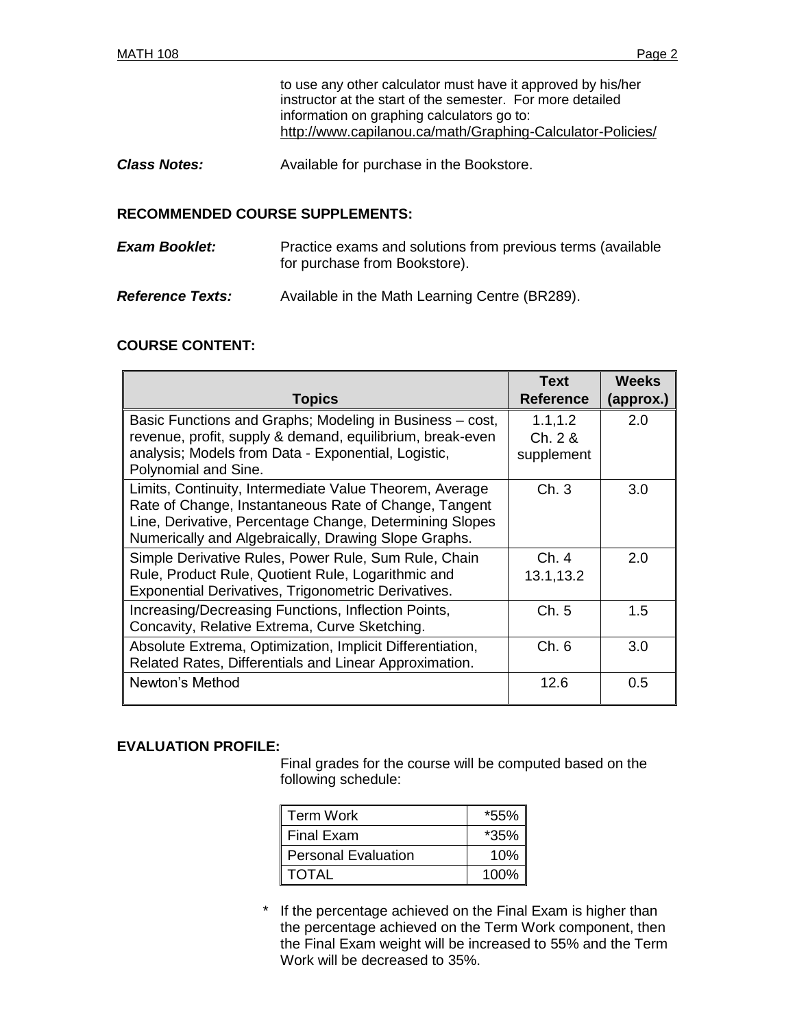to use any other calculator must have it approved by his/her instructor at the start of the semester. For more detailed information on graphing calculators go to: <http://www.capilanou.ca/math/Graphing-Calculator-Policies/>

**Class Notes:** Available for purchase in the Bookstore.

#### **RECOMMENDED COURSE SUPPLEMENTS:**

| <b>Exam Booklet:</b> | Practice exams and solutions from previous terms (available |
|----------------------|-------------------------------------------------------------|
|                      | for purchase from Bookstore).                               |
|                      |                                                             |

*Reference Texts:* Available in the Math Learning Centre (BR289).

### **COURSE CONTENT:**

|                                                           | <b>Text</b>      | <b>Weeks</b> |
|-----------------------------------------------------------|------------------|--------------|
| <b>Topics</b>                                             | <b>Reference</b> | (approx.)    |
| Basic Functions and Graphs; Modeling in Business - cost,  | 1.1, 1.2         | 2.0          |
| revenue, profit, supply & demand, equilibrium, break-even | Ch. 2 &          |              |
| analysis; Models from Data - Exponential, Logistic,       | supplement       |              |
| Polynomial and Sine.                                      |                  |              |
| Limits, Continuity, Intermediate Value Theorem, Average   | Ch.3             | 3.0          |
| Rate of Change, Instantaneous Rate of Change, Tangent     |                  |              |
| Line, Derivative, Percentage Change, Determining Slopes   |                  |              |
| Numerically and Algebraically, Drawing Slope Graphs.      |                  |              |
| Simple Derivative Rules, Power Rule, Sum Rule, Chain      | Ch.4             | 2.0          |
| Rule, Product Rule, Quotient Rule, Logarithmic and        | 13.1,13.2        |              |
| Exponential Derivatives, Trigonometric Derivatives.       |                  |              |
| Increasing/Decreasing Functions, Inflection Points,       | Ch.5             | 1.5          |
| Concavity, Relative Extrema, Curve Sketching.             |                  |              |
| Absolute Extrema, Optimization, Implicit Differentiation, | Ch.6             | 3.0          |
| Related Rates, Differentials and Linear Approximation.    |                  |              |
| Newton's Method                                           | 12.6             | 0.5          |
|                                                           |                  |              |

#### **EVALUATION PROFILE:**

Final grades for the course will be computed based on the following schedule:

| <b>Term Work</b>      | *55%   |
|-----------------------|--------|
| l Final Exam          | $*35%$ |
| l Personal Evaluation | 10%    |
| I TOTAL               | 100%   |

If the percentage achieved on the Final Exam is higher than the percentage achieved on the Term Work component, then the Final Exam weight will be increased to 55% and the Term Work will be decreased to 35%.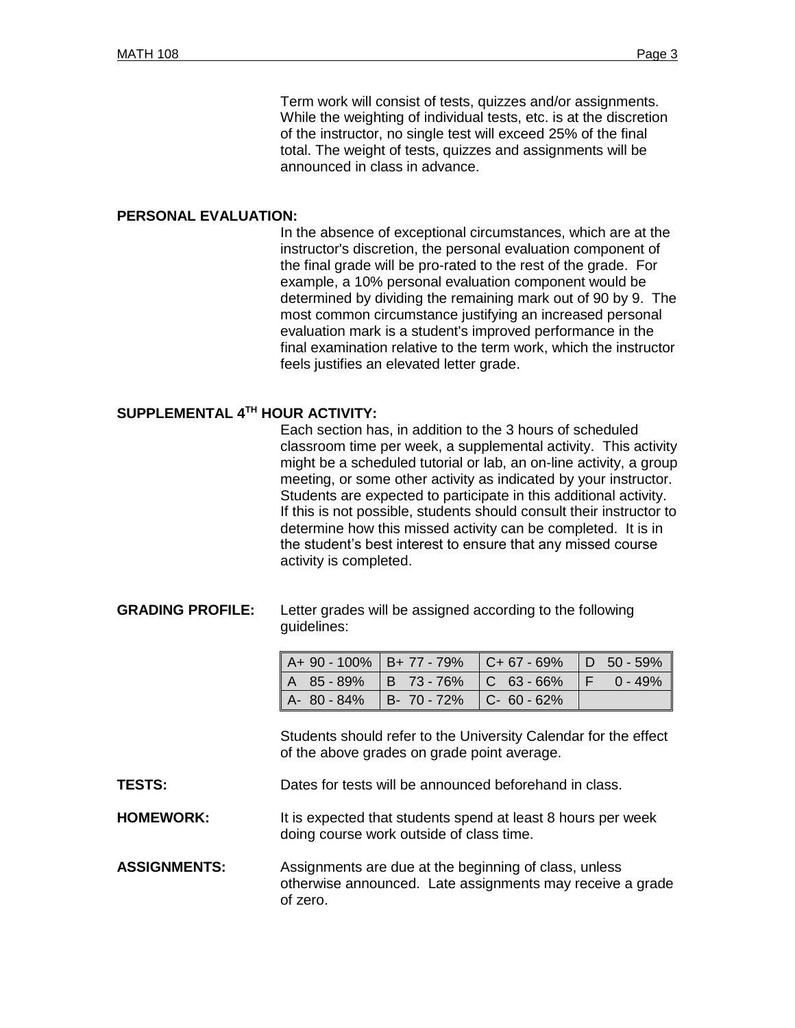Term work will consist of tests, quizzes and/or assignments. While the weighting of individual tests, etc. is at the discretion of the instructor, no single test will exceed 25% of the final total. The weight of tests, quizzes and assignments will be announced in class in advance.

#### **PERSONAL EVALUATION:**

In the absence of exceptional circumstances, which are at the instructor's discretion, the personal evaluation component of the final grade will be pro-rated to the rest of the grade. For example, a 10% personal evaluation component would be determined by dividing the remaining mark out of 90 by 9. The most common circumstance justifying an increased personal evaluation mark is a student's improved performance in the final examination relative to the term work, which the instructor feels justifies an elevated letter grade.

#### **SUPPLEMENTAL 4 TH HOUR ACTIVITY:**

Each section has, in addition to the 3 hours of scheduled classroom time per week, a supplemental activity. This activity might be a scheduled tutorial or lab, an on-line activity, a group meeting, or some other activity as indicated by your instructor. Students are expected to participate in this additional activity. If this is not possible, students should consult their instructor to determine how this missed activity can be completed. It is in the student's best interest to ensure that any missed course activity is completed.

#### **GRADING PROFILE:** Letter grades will be assigned according to the following guidelines:

| A+ 90 - 100%   B+ 77 - 79%   C+ 67 - 69%   D 50 - 59% |  |  |
|-------------------------------------------------------|--|--|
| A 85 - 89%   B 73 - 76%   C 63 - 66%   F 0 - 49%      |  |  |
| A-80-84% B-70-72% C-60-62%                            |  |  |

Students should refer to the University Calendar for the effect of the above grades on grade point average.

**TESTS:** Dates for tests will be announced beforehand in class.

**HOMEWORK:** It is expected that students spend at least 8 hours per week doing course work outside of class time.

**ASSIGNMENTS:** Assignments are due at the beginning of class, unless otherwise announced. Late assignments may receive a grade of zero.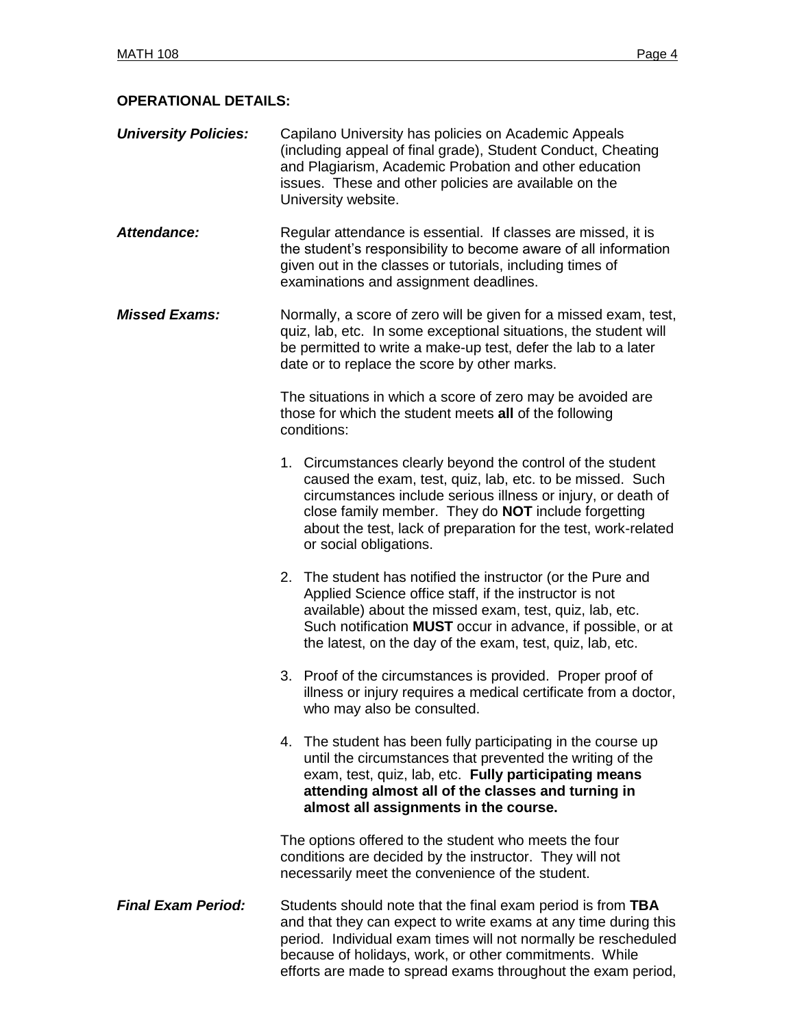## **OPERATIONAL DETAILS:**

| <b>University Policies:</b> | Capilano University has policies on Academic Appeals         |
|-----------------------------|--------------------------------------------------------------|
|                             | (including appeal of final grade), Student Conduct, Cheating |
|                             | and Plagiarism, Academic Probation and other education       |
|                             | issues. These and other policies are available on the        |
|                             | University website.                                          |

- Attendance: Regular attendance is essential. If classes are missed, it is the student's responsibility to become aware of all information given out in the classes or tutorials, including times of examinations and assignment deadlines.
- *Missed Exams:* Normally, a score of zero will be given for a missed exam, test, quiz, lab, etc. In some exceptional situations, the student will be permitted to write a make-up test, defer the lab to a later date or to replace the score by other marks.

The situations in which a score of zero may be avoided are those for which the student meets **all** of the following conditions:

- 1. Circumstances clearly beyond the control of the student caused the exam, test, quiz, lab, etc. to be missed. Such circumstances include serious illness or injury, or death of close family member. They do **NOT** include forgetting about the test, lack of preparation for the test, work-related or social obligations.
- 2. The student has notified the instructor (or the Pure and Applied Science office staff, if the instructor is not available) about the missed exam, test, quiz, lab, etc. Such notification **MUST** occur in advance, if possible, or at the latest, on the day of the exam, test, quiz, lab, etc.
- 3. Proof of the circumstances is provided. Proper proof of illness or injury requires a medical certificate from a doctor, who may also be consulted.
- 4. The student has been fully participating in the course up until the circumstances that prevented the writing of the exam, test, quiz, lab, etc. **Fully participating means attending almost all of the classes and turning in almost all assignments in the course.**

The options offered to the student who meets the four conditions are decided by the instructor. They will not necessarily meet the convenience of the student.

*Final Exam Period:* Students should note that the final exam period is from **TBA** and that they can expect to write exams at any time during this period. Individual exam times will not normally be rescheduled because of holidays, work, or other commitments. While efforts are made to spread exams throughout the exam period,